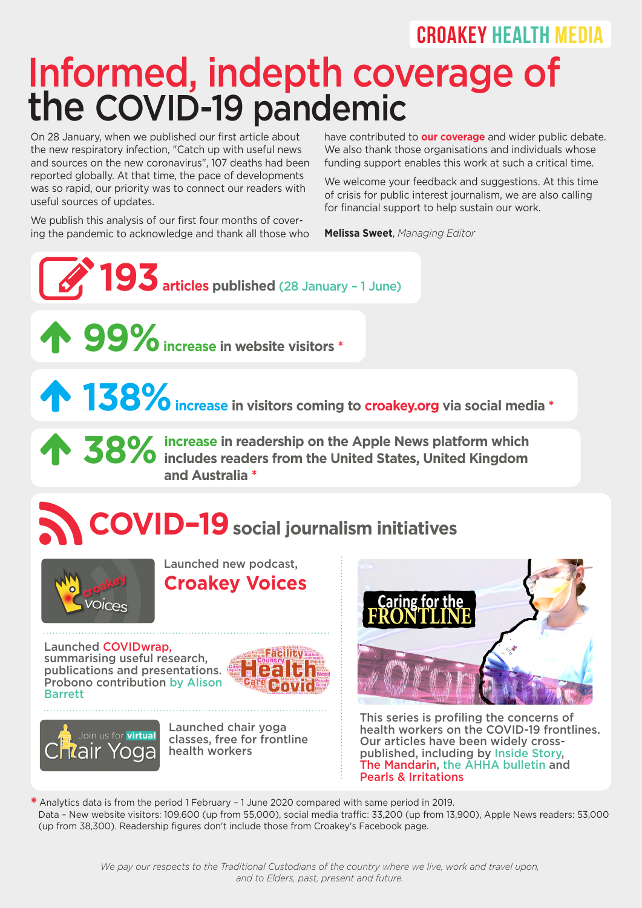## CROAKEY HEALTH MEDIA

## Informed, indepth coverage of the COVID-19 pandemic

On 28 January, when we published our first article about the new respiratory infection, "Catch up with useful news and sources on the new coronavirus", 107 deaths had been reported globally. At that time, the pace of developments was so rapid, our priority was to connect our readers with useful sources of updates.

We publish this analysis of our first four months of covering the pandemic to acknowledge and thank all those who

have contributed to **our coverage** and wider public debate. We also thank those organisations and individuals whose funding support enables this work at such a critical time.

We welcome your feedback and suggestions. At this time of crisis for public interest journalism, we are also calling for financial support to help sustain our work.

**Melissa Sweet**, *Managing Editor*

**<sup>193</sup>articles published** (28 January – 1 June) **99%increase in website visitors \***

**138% increase in visitors coming to croakey.org via social media \***

**38%** increase in readership on the Apple News platform which includes readers from the United States, United Kingdom **O** /O includes readers from the United States, United Kingdom **38%** increase in rea<br>and Australia \*

## **COVID–19social journalism initiatives**



**Croakey Voices** 

Launched new podcast,

Launched COVIDwrap, summarising useful research, publications and presentations. Probono contribution by Alison Barrett





Launched chair yoga classes, free for frontline health workers



This series is profiling the concerns of health workers on the COVID-19 frontlines. Our articles have been widely crosspublished, including by Inside Story, The Mandarin, the AHHA bulletin and Pearls & Irritations

**\*** Analytics data is from the period 1 February – 1 June 2020 compared with same period in 2019. Data – New website visitors: 109,600 (up from 55,000), social media traffic: 33,200 (up from 13,900), Apple News readers: 53,000 (up from 38,300). Readership figures don't include those from Croakey's Facebook page.